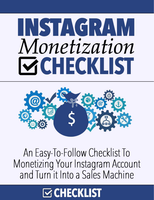# INSTAGRAM Monetization **MCHECKLIST**



An Easy-To-Follow Checklist To Monetizing Your Instagram Account and Turn it Into a Sales Machine

## **S CHECKLIST**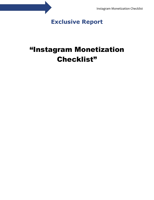

### "Instagram Monetization Checklist"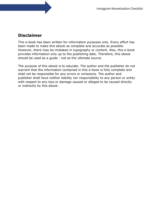#### **Disclaimer**

This e-book has been written for information purposes only. Every effort has been made to make this ebook as complete and accurate as possible. However, there may be mistakes in typography or content. Also, this e-book provides information only up to the publishing date. Therefore, this ebook should be used as a guide - not as the ultimate source.

The purpose of this ebook is to educate. The author and the publisher do not warrant that the information contained in this e-book is fully complete and shall not be responsible for any errors or omissions. The author and publisher shall have neither liability nor responsibility to any person or entity with respect to any loss or damage caused or alleged to be caused directly or indirectly by this ebook.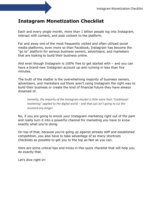#### **Instagram Monetization Checklist**

Each and every single month, more than 1 billion people log into Instagram, interact with content, and post content to the platform.

Far and away one of the most frequently visited and often utilized social media platforms, even more so than Facebook, Instagram has become the "go to" platform for serious business owners, advertisers, and marketers that are looking to build their business online.

And even though Instagram is 100% free to get started with – and you can have a brand-new Instagram account up and running in less than five minutes.

The truth of the matter is the overwhelming majority of business owners, advertisers, and marketers out there aren't using Instagram the right way to build their business or create the kind of financial future they have always dreamed of.

*Honestly, the majority of the Instagram market is little more than "traditional marketing" applied to the digital world – and that just isn't going to cut the mustard any longer.*

No, if you are going to knock your Instagram marketing right out of the park and really turn it into a powerful channel for marketing you have to know exactly what you're doing.

On top of that, because you're going up against already stiff and established competition, you also have to take advantage of as many shortcuts checklists as possible to get you to the top as fast as you can.

Here are some critical tips and tricks in this quick checklist that will help you do exactly that.

Let's dive right in!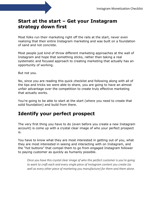#### **Start at the start – Get your Instagram strategy down first**

Most folks run their marketing right off the rails at the start, never even realizing that their entire Instagram marketing and was built on a foundation of sand and not concrete.

Most people just kind of throw different marketing approaches at the wall of Instagram and hope that something sticks, rather than taking a real systematic and focused approach to creating marketing that actually has an opportunity of working.

But not you.

No, since you are reading this quick checklist and following along with all of the tips and tricks we were able to share, you are going to have an almost unfair advantage over the competition to create truly effective marketing that actually works.

You're going to be able to start at the start (where you need to create that solid foundation) and build from there.

#### **Identify your perfect prospect**

The very first thing you have to do (even before you create a new Instagram account) is come up with a crystal clear image of who your perfect prospect is.

You have to know what they are most interested in getting out of you, what they are most interested in seeing and interacting with on Instagram, and the "hot buttons" that compel them to go from engaged Instagram follower to paying customer as quickly as humanly possible.

*Once you have this crystal clear image of who this perfect customer is you're going to want to craft each and every single piece of Instagram content you create (as well as every other piece of marketing you manufacture) for them and them alone.*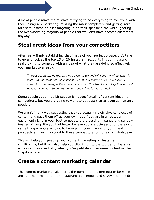A lot of people make the mistake of trying to be everything to everyone with their Instagram marketing, missing the mark completely and getting zero followers instead of laser targeting in on their specific niche while ignoring the overwhelming majority of people that wouldn't have become customers anyway.

#### **Steal great ideas from your competitors**

After really firmly establishing that image of your perfect prospect it's time to go and look at the top 15 or 20 Instagram accounts in your industry, really trying to come up with an idea of what they are doing so effectively in your market to already.

*There is absolutely no reason whatsoever to try and reinvent the wheel when it comes to online marketing, especially when your competitors (your successful competitors, anyway) will not have only blazed that trail for you to follow but will have left very easy to understand and copy clues for you as well.*

Some people get a little bit squeamish about "stealing" content ideas from competitors, but you are going to want to get past that as soon as humanly possible.

We aren't in any way suggesting that you actually rip off physical pieces of content and pass them off as your own, but if you are in an outdoor equipment niche in your best competitors are posting in sunup and sundown images of camp life you had better believe you are doing a lot of the exact same thing or you are going to be missing your mark with your ideal prospects and losing ground to these competitors for no reason whatsoever.

This will help you speed up your content marketing on Instagram significantly, but it will also help you slip right into the top tier of Instagram accounts in your industry when you're publishing the same content as the "big dogs" are.

#### **Create a content marketing calendar**

The content marketing calendar is the number one differentiator between amateur hour marketers on Instagram and serious and savvy social media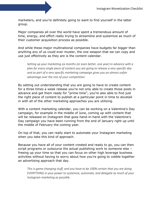marketers, and you're definitely going to want to find yourself in the latter group.

Major companies all over the world have spent a tremendous amount of time, energy, and effort really trying to streamline and systemize as much of their customer acquisition process as possible.

And while these major multinational companies have budgets far bigger than anything any of us could ever muster, the one weapon that we can copy and use just effectively as they are is the content calendar.

*Setting up your marketing six months (or even better, one year) in advance with a plan for every single piece of content you are going to release a very specific day and as part of a very specific marketing campaign gives you an almost unfair advantage over the rest of your competition.*

By setting out understanding that you are going to have to create content for a three times a week release you're not only able to create those posts in advance and get them ready for "prime time", you're also able to find just the right piece of content to publish at a particular point in time to dovetail in with all of the other marketing approaches you are utilizing.

With a content marketing calendar, you can be working on a Valentine's Day campaign, for example in the middle of June, coming up with content that will be released on Instagram that goes hand-in-hand with the Valentine's Day campaign you have been running from the end of January right up until the middle of February the coming year.

On top of that, you can really start to automate your Instagram marketing when you take this kind of approach.

Because you have all of your content created and ready to go, you can then script programs or outsource the actual publishing work to someone else – freeing up your time so that you can focus on other high leverage business activities without having to worry about how you're going to cobble together an advertising approach that day.

*This is game changing stuff, and you have to be 100% certain that you are doing EVERYTHING in your power to systemize, automate, and delegate as much of your Instagram marketing as possible.*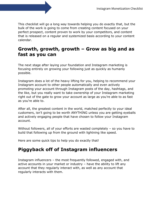This checklist will go a long way towards helping you do exactly that, but the bulk of the work is going to come from creating content focused on your perfect prospect, content proven to work by your competitors, and content that is released on a regular and systemized basis according to your content calendar.

#### **Growth, growth, growth – Grow as big and as fast as you can**

The next stage after laying your foundation and Instagram marketing is focusing entirely on growing your following just as quickly as humanly possible.

Instagram does a lot of the heavy lifting for you, helping to recommend your Instagram account to other people automatically and even actively promoting your account through Instagram posts of the day, hashtags, and the like, but you really want to take ownership of your Instagram marketing right out of the gate to grow your account as large as you're able to as fast as you're able to.

After all, the greatest content in the world, matched perfectly to your ideal customers, isn't going to be worth ANYTHING unless you are getting eyeballs and actively engaging people that have chosen to follow your Instagram account.

Without followers, all of your efforts are wasted completely – so you have to build that following up from the ground with lightning like speed.

Here are some quick tips to help you do exactly that!

#### **Piggyback off of Instagram influencers**

Instagram influencers – the most frequently followed, engaged with, and active accounts in your market or industry – have the ability to lift any account that they regularly interact with, as well as any account that regularly interacts with them.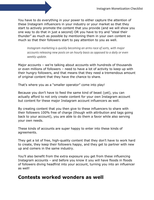You have to do everything in your power to either capture the attention of these Instagram influencers in your industry or your market so that they start to actively promote the content that you provide (and we will show you one way to do that in just a second) OR you have to try and "steal their thunder" as much as possible by mentioning them in your own content so much so that their followers start to pay attention to you as well.

*Instagram marketing is quickly becoming an arms race of sorts, with major accounts releasing new posts on an hourly basis as opposed to a daily or even weekly update.* 

Major accounts – we're talking about accounts with hundreds of thousands or even millions of followers – need to have a lot of activity to keep up with their hungry followers, and that means that they need a tremendous amount of original content that they have the chance to share.

That's where you as a "smaller operator" come into play!

Because you don't have to feed the same kind of beast (yet), you can actually afford to not only create content for your own Instagram account but content for these major Instagram account influencers as well.

By creating content that you then give to these influencers to share with their followers 100% free of charge (though with attribution and tags going back to your account), you are able to do them a favor while also serving your own needs.

These kinds of accounts are super happy to enter into these kinds of agreements.

They get a lot of free, high-quality content that they don't have to work hard to create, they keep their followers happy, and they get to partner with new up and comers in the same industry.

You'll also benefit from the extra exposure you get from these influencing Instagram accounts – and before you know it you will have floods in floods of followers diving headfirst into your account, turning you into an influencer as well!

#### **Contests worked wonders as well**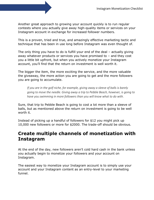Another great approach to growing your account quickly is to run regular contests where you actually give away high-quality items or services on your Instagram account in exchange for increased follower numbers.

This is a proven, tried and true, and amazingly effective marketing tactic and technique that has been in use long before Instagram was even thought of.

The only thing you have to do is fulfill your end of the deal – actually giving away whatever products or services you have promised to – and they cost you a little bit upfront, but when you actively monetize your Instagram account, you'll find that the return on investment is well worth it.

The bigger the item, the more exciting the service, and the more valuable the giveaway, the more action you are going to get and the more followers you are going to accumulate.

*If you are in the golf niche, for example, giving away a sleeve of balls is barely going to move the needle. Giving away a trip to Pebble Beach, however, is going to have you swimming in more followers than you will know what to do with.*

Sure, that trip to Pebble Beach is going to cost a lot more than a sleeve of balls, but as mentioned above the return on investment is going to be well worth it.

Instead of picking up a handful of followers for \$12 you might pick up 10,000 new followers or more for \$2000. The trade-off should be obvious.

#### **Create multiple channels of monetization with Instagram**

At the end of the day, new followers aren't cold hard cash in the bank unless you actually begin to monetize your followers and your account on Instagram.

The easiest way to monetize your Instagram account is to simply use your account and your Instagram content as an entry-level to your marketing funnel.